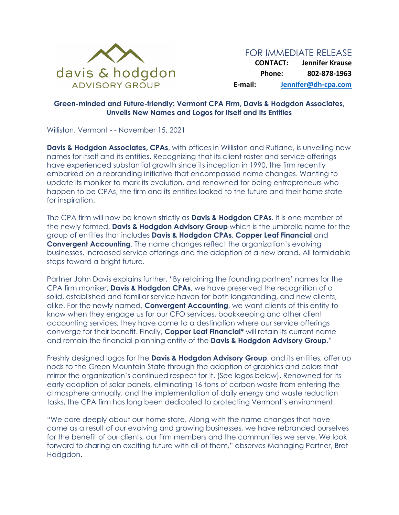

## **Green-minded and Future-friendly: Vermont CPA Firm, Davis & Hodgdon Associates, Unveils New Names and Logos for Itself and Its Entities**

Williston, Vermont - - November 15, 2021

**Davis & Hodgdon Associates, CPAs**, with offices in Williston and Rutland, is unveiling new names for itself and its entities. Recognizing that its client roster and service offerings have experienced substantial growth since its inception in 1990, the firm recently embarked on a rebranding initiative that encompassed name changes. Wanting to update its moniker to mark its evolution, and renowned for being entrepreneurs who happen to be CPAs, the firm and its entities looked to the future and their home state for inspiration.

The CPA firm will now be known strictly as **Davis & Hodgdon CPAs**. It is one member of the newly formed, **Davis & Hodgdon Advisory Group** which is the umbrella name for the group of entities that includes **Davis & Hodgdon CPAs**, **Copper Leaf Financial** and **Convergent Accounting**. The name changes reflect the organization's evolving businesses, increased service offerings and the adoption of a new brand. All formidable steps toward a bright future.

Partner John Davis explains further, "By retaining the founding partners' names for the CPA firm moniker, **Davis & Hodgdon CPAs**, we have preserved the recognition of a solid, established and familiar service haven for both longstanding, and new clients, alike. For the newly named, **Convergent Accounting**, we want clients of this entity to know when they engage us for our CFO services, bookkeeping and other client accounting services, they have come to a destination where our service offerings converge for their benefit. Finally, **Copper Leaf Financial\*** will retain its current name and remain the financial planning entity of the **Davis & Hodgdon Advisory Group**."

Freshly designed logos for the **Davis & Hodgdon Advisory Group**, and its entities, offer up nods to the Green Mountain State through the adoption of graphics and colors that mirror the organization's continued respect for it. (See logos below). Renowned for its early adoption of solar panels, eliminating 16 tons of carbon waste from entering the atmosphere annually, and the implementation of daily energy and waste reduction tasks, the CPA firm has long been dedicated to protecting Vermont's environment.

"We care deeply about our home state. Along with the name changes that have come as a result of our evolving and growing businesses, we have rebranded ourselves for the benefit of our clients, our firm members and the communities we serve. We look forward to sharing an exciting future with all of them," observes Managing Partner, Bret Hodgdon.